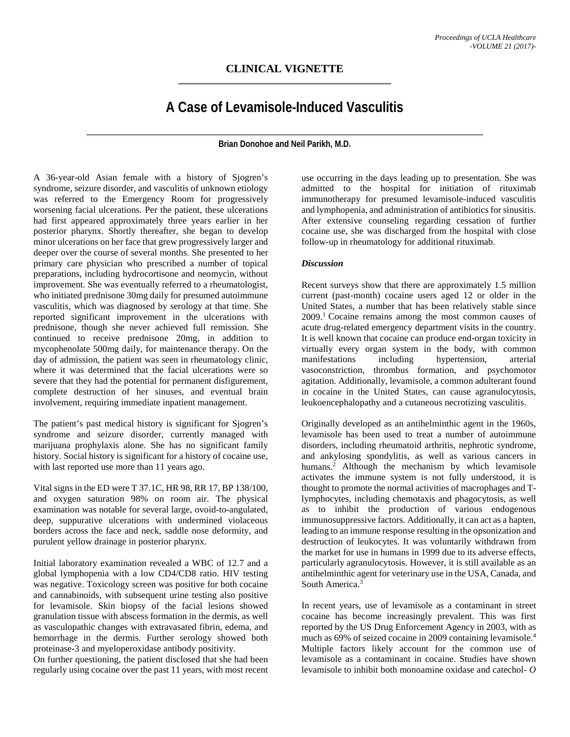## **CLINICAL VIGNETTE**

## **A Case of Levamisole-Induced Vasculitis**

**Brian Donohoe and Neil Parikh, M.D.**

A 36-year-old Asian female with a history of Sjogren's syndrome, seizure disorder, and vasculitis of unknown etiology was referred to the Emergency Room for progressively worsening facial ulcerations. Per the patient, these ulcerations had first appeared approximately three years earlier in her posterior pharynx. Shortly thereafter, she began to develop minor ulcerations on her face that grew progressively larger and deeper over the course of several months. She presented to her primary care physician who prescribed a number of topical preparations, including hydrocortisone and neomycin, without improvement. She was eventually referred to a rheumatologist, who initiated prednisone 30mg daily for presumed autoimmune vasculitis, which was diagnosed by serology at that time. She reported significant improvement in the ulcerations with prednisone, though she never achieved full remission. She continued to receive prednisone 20mg, in addition to mycophenolate 500mg daily, for maintenance therapy. On the day of admission, the patient was seen in rheumatology clinic, where it was determined that the facial ulcerations were so severe that they had the potential for permanent disfigurement, complete destruction of her sinuses, and eventual brain involvement, requiring immediate inpatient management.

The patient's past medical history is significant for Sjogren's syndrome and seizure disorder, currently managed with marijuana prophylaxis alone. She has no significant family history. Social history is significant for a history of cocaine use, with last reported use more than 11 years ago.

Vital signs in the ED were T 37.1C, HR 98, RR 17, BP 138/100, and oxygen saturation 98% on room air. The physical examination was notable for several large, ovoid-to-angulated, deep, suppurative ulcerations with undermined violaceous borders across the face and neck, saddle nose deformity, and purulent yellow drainage in posterior pharynx.

Initial laboratory examination revealed a WBC of 12.7 and a global lymphopenia with a low CD4/CD8 ratio. HIV testing was negative. Toxicology screen was positive for both cocaine and cannabinoids, with subsequent urine testing also positive for levamisole. Skin biopsy of the facial lesions showed granulation tissue with abscess formation in the dermis, as well as vasculopathic changes with extravasated fibrin, edema, and hemorrhage in the dermis. Further serology showed both proteinase-3 and myeloperoxidase antibody positivity.

On further questioning, the patient disclosed that she had been regularly using cocaine over the past 11 years, with most recent

use occurring in the days leading up to presentation. She was admitted to the hospital for initiation of rituximab immunotherapy for presumed levamisole-induced vasculitis and lymphopenia, and administration of antibiotics for sinusitis. After extensive counseling regarding cessation of further cocaine use, she was discharged from the hospital with close follow-up in rheumatology for additional rituximab.

## *Discussion*

Recent surveys show that there are approximately 1.5 million current (past-month) cocaine users aged 12 or older in the United States, a number that has been relatively stable since 2009.1 Cocaine remains among the most common causes of acute drug-related emergency department visits in the country. It is well known that cocaine can produce end-organ toxicity in virtually every organ system in the body, with common manifestations including hypertension, arterial vasoconstriction, thrombus formation, and psychomotor agitation. Additionally, levamisole, a common adulterant found in cocaine in the United States, can cause agranulocytosis, leukoencephalopathy and a cutaneous necrotizing vasculitis.

Originally developed as an antihelminthic agent in the 1960s, levamisole has been used to treat a number of autoimmune disorders, including rheumatoid arthritis, nephrotic syndrome, and ankylosing spondylitis, as well as various cancers in humans.<sup>2</sup> Although the mechanism by which levamisole activates the immune system is not fully understood, it is thought to promote the normal activities of macrophages and Tlymphocytes, including chemotaxis and phagocytosis, as well as to inhibit the production of various endogenous immunosuppressive factors. Additionally, it can act as a hapten, leading to an immune response resulting in the opsonization and destruction of leukocytes. It was voluntarily withdrawn from the market for use in humans in 1999 due to its adverse effects, particularly agranulocytosis. However, it is still available as an antihelminthic agent for veterinary use in the USA, Canada, and South America.<sup>3</sup>

In recent years, use of levamisole as a contaminant in street cocaine has become increasingly prevalent. This was first reported by the US Drug Enforcement Agency in 2003, with as much as 69% of seized cocaine in 2009 containing levamisole.4 Multiple factors likely account for the common use of levamisole as a contaminant in cocaine. Studies have shown levamisole to inhibit both monoamine oxidase and catechol- *O*